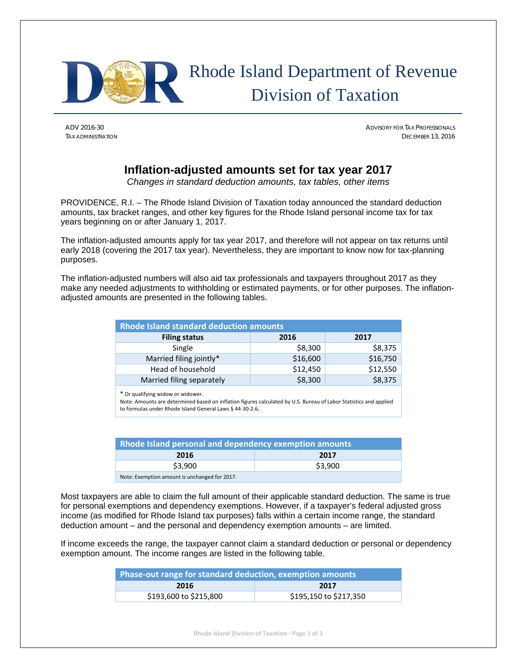

# Rhode Island Department of Revenue Division of Taxation

ADV 2016-30 ADVISORY FOR TAX PROFESSIONALS TAX ADMINISTRATION DECEMBER 13, 2016

## **Inflation-adjusted amounts set for tax year 2017**

*Changes in standard deduction amounts, tax tables, other items* 

PROVIDENCE, R.I. – The Rhode Island Division of Taxation today announced the standard deduction amounts, tax bracket ranges, and other key figures for the Rhode Island personal income tax for tax years beginning on or after January 1, 2017.

The inflation-adjusted amounts apply for tax year 2017, and therefore will not appear on tax returns until early 2018 (covering the 2017 tax year). Nevertheless, they are important to know now for tax-planning purposes.

The inflation-adjusted numbers will also aid tax professionals and taxpayers throughout 2017 as they make any needed adjustments to withholding or estimated payments, or for other purposes. The inflationadjusted amounts are presented in the following tables.

| <b>Rhode Island standard deduction amounts</b> |          |          |  |  |  |  |  |
|------------------------------------------------|----------|----------|--|--|--|--|--|
| <b>Filing status</b><br>2017<br>2016           |          |          |  |  |  |  |  |
| Single                                         | \$8,300  | \$8,375  |  |  |  |  |  |
| Married filing jointly*                        | \$16,600 | \$16,750 |  |  |  |  |  |
| Head of household                              | \$12,450 | \$12,550 |  |  |  |  |  |
| Married filing separately                      | \$8,300  | \$8,375  |  |  |  |  |  |

\* Or qualifying widow or widower.

Note: Amounts are determined based on inflation figures calculated by U.S. Bureau of Labor Statistics and applied to formulas under Rhode Island General Laws § 44‐30‐2.6.

| Rhode Island personal and dependency exemption amounts |         |  |  |  |  |  |
|--------------------------------------------------------|---------|--|--|--|--|--|
| 2016<br>2017                                           |         |  |  |  |  |  |
| \$3,900                                                | \$3,900 |  |  |  |  |  |
| Note: Exemption amount is unchanged for 2017.          |         |  |  |  |  |  |

Most taxpayers are able to claim the full amount of their applicable standard deduction. The same is true for personal exemptions and dependency exemptions. However, if a taxpayer's federal adjusted gross income (as modified for Rhode Island tax purposes) falls within a certain income range, the standard deduction amount – and the personal and dependency exemption amounts – are limited.

If income exceeds the range, the taxpayer cannot claim a standard deduction or personal or dependency exemption amount. The income ranges are listed in the following table.

| Phase-out range for standard deduction, exemption amounts |                        |  |  |  |  |
|-----------------------------------------------------------|------------------------|--|--|--|--|
| 2016                                                      | 2017                   |  |  |  |  |
| \$193,600 to \$215,800                                    | \$195,150 to \$217,350 |  |  |  |  |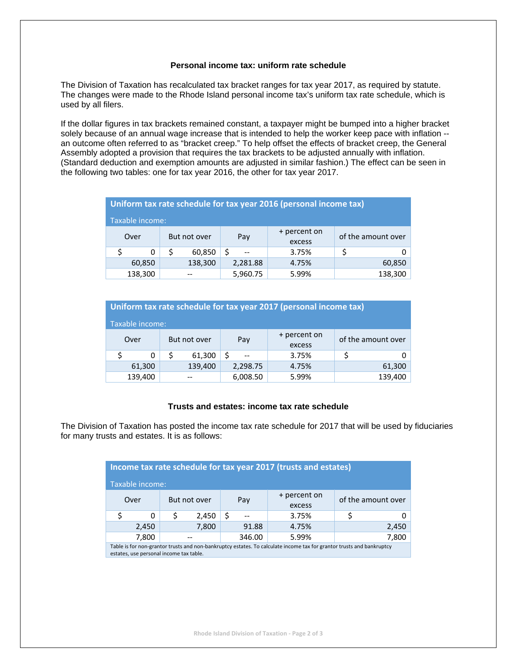#### **Personal income tax: uniform rate schedule**

The Division of Taxation has recalculated tax bracket ranges for tax year 2017, as required by statute. The changes were made to the Rhode Island personal income tax's uniform tax rate schedule, which is used by all filers.

If the dollar figures in tax brackets remained constant, a taxpayer might be bumped into a higher bracket solely because of an annual wage increase that is intended to help the worker keep pace with inflation - an outcome often referred to as "bracket creep." To help offset the effects of bracket creep, the General Assembly adopted a provision that requires the tax brackets to be adjusted annually with inflation. (Standard deduction and exemption amounts are adjusted in similar fashion.) The effect can be seen in the following two tables: one for tax year 2016, the other for tax year 2017.

| Uniform tax rate schedule for tax year 2016 (personal income tax) |         |              |                               |          |                    |          |         |  |        |
|-------------------------------------------------------------------|---------|--------------|-------------------------------|----------|--------------------|----------|---------|--|--------|
| Taxable income:                                                   |         |              |                               |          |                    |          |         |  |        |
| Over                                                              |         | But not over | + percent on<br>Pay<br>excess |          | of the amount over |          |         |  |        |
|                                                                   | 0       | S            | 60,850                        |          | 3.75%              |          |         |  |        |
|                                                                   | 60,850  | 138,300      |                               |          |                    | 2,281.88 | 4.75%   |  | 60,850 |
|                                                                   | 138,300 |              |                               | 5,960.75 | 5.99%              |          | 138,300 |  |        |

| Uniform tax rate schedule for tax year 2017 (personal income tax) |         |                     |         |          |              |                    |         |  |  |
|-------------------------------------------------------------------|---------|---------------------|---------|----------|--------------|--------------------|---------|--|--|
| Taxable income:                                                   |         |                     |         |          |              |                    |         |  |  |
| Over                                                              |         | Pay<br>But not over |         |          | + percent on | of the amount over |         |  |  |
|                                                                   |         |                     |         |          | excess       |                    |         |  |  |
|                                                                   | 0       |                     | 61,300  |          | 3.75%        |                    |         |  |  |
|                                                                   | 61,300  |                     | 139,400 | 2,298.75 | 4.75%        |                    | 61,300  |  |  |
|                                                                   | 139,400 |                     |         |          | 5.99%        |                    | 139,400 |  |  |

#### **Trusts and estates: income tax rate schedule**

The Division of Taxation has posted the income tax rate schedule for 2017 that will be used by fiduciaries for many trusts and estates. It is as follows:

| Income tax rate schedule for tax year 2017 (trusts and estates)                                                       |       |              |        |       |       |                        |  |                    |
|-----------------------------------------------------------------------------------------------------------------------|-------|--------------|--------|-------|-------|------------------------|--|--------------------|
| Taxable income:                                                                                                       |       |              |        |       |       |                        |  |                    |
|                                                                                                                       | Over  | But not over |        |       | Pay   | + percent on<br>excess |  | of the amount over |
|                                                                                                                       | 0     |              | 2,450  |       |       | 3.75%                  |  |                    |
|                                                                                                                       | 2,450 | 7,800        |        |       | 91.88 | 4.75%                  |  | 2,450              |
| 7,800                                                                                                                 |       |              | 346.00 | 5.99% | 7,800 |                        |  |                    |
| Table is for non-grantor trusts and non-bankruptcy estates. To calculate income tax for grantor trusts and bankruptcy |       |              |        |       |       |                        |  |                    |

estates, use personal income tax table.